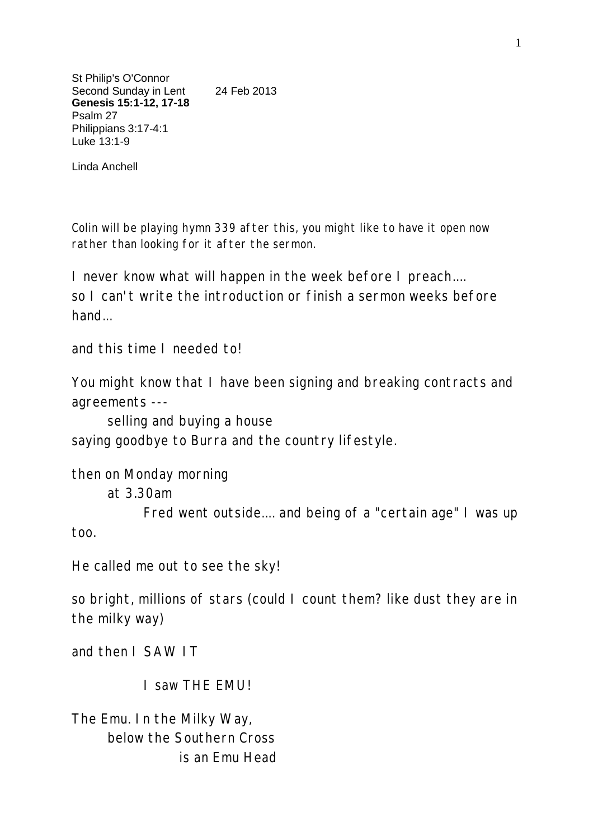St Philip's O'Connor Second Sunday in Lent 24 Feb 2013 **Genesis 15:1-12, 17-18** Psalm 27 Philippians 3:17-4:1 Luke 13:1-9

Linda Anchell

Colin will be playing hymn 339 after this, you might like to have it open now rather than looking for it after the sermon.

I never know what will happen in the week before I preach.... so I can't write the introduction or finish a sermon weeks before hand...

and this time I needed to!

You might know that I have been signing and breaking contracts and agreements ---

selling and buying a house

saying goodbye to Burra and the country lifestyle.

then on Monday morning

at 3.30am

Fred went outside.... and being of a "certain age" I was up too.

He called me out to see the sky!

so bright, millions of stars (could I count them? like dust they are in the milky way)

and then I SAW IT

I saw THE EMU!

The Emu. In the Milky Way, below the Southern Cross is an Emu Head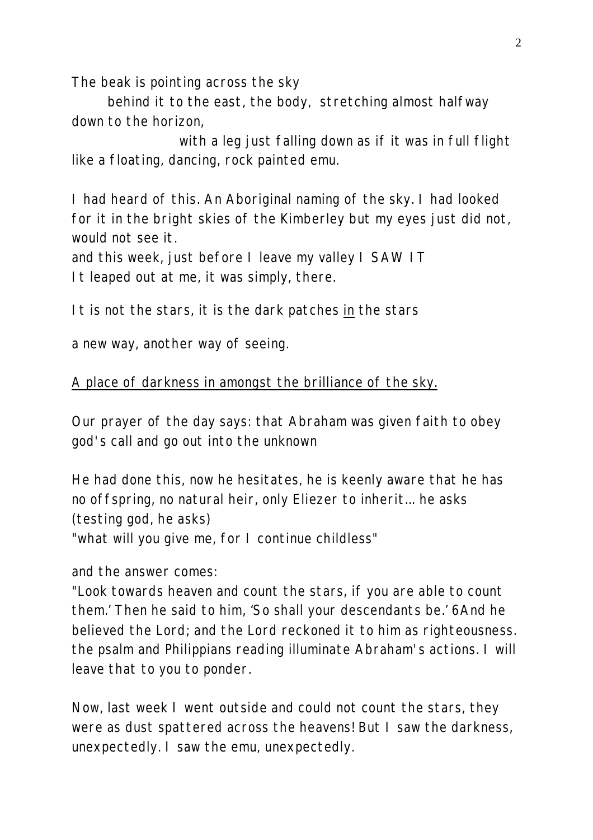The beak is pointing across the sky

behind it to the east, the body, stretching almost halfway down to the horizon,

with a leg just falling down as if it was in full flight like a floating, dancing, rock painted emu.

I had heard of this. An Aboriginal naming of the sky. I had looked for it in the bright skies of the Kimberley but my eyes just did not, would not see it.

and this week, just before I leave my valley I SAW IT It leaped out at me, it was simply, there.

It is not the stars, it is the dark patches *in* the stars

a new way, another way of seeing.

## A place of darkness in amongst the brilliance of the sky.

Our prayer of the day says: that Abraham was given faith to obey god's call and go out into the unknown

He had done this, now he hesitates, he is keenly aware that he has no offspring, no natural heir, only Eliezer to inherit... he asks (testing god, he asks)

"what will you give me, for I continue childless"

and the answer comes:

"Look towards heaven and count the stars, if you are able to count them.' Then he said to him, 'So shall your descendants be.' 6And he believed the Lord; and the Lord reckoned it to him as righteousness. the psalm and Philippians reading illuminate Abraham's actions. I will leave that to you to ponder.

Now, last week I went outside and could not count the stars, they were as dust spattered across the heavens! But I saw the darkness, unexpectedly. I saw the emu, unexpectedly.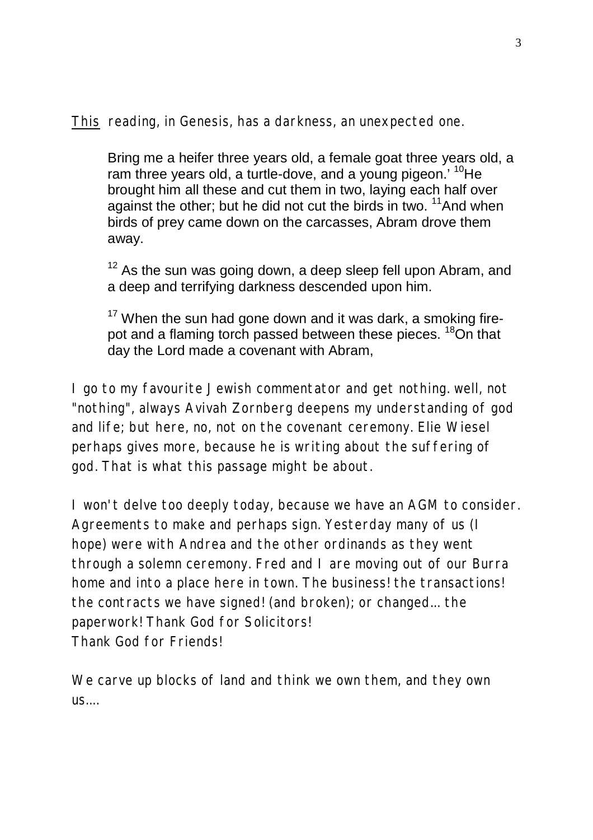*This* reading, in Genesis, has a darkness, an unexpected one.

Bring me a heifer three years old, a female goat three years old, a ram three years old, a turtle-dove, and a young pigeon.<sup>' 10</sup>He brought him all these and cut them in two, laying each half over against the other; but he did not cut the birds in two.  $11$ And when birds of prey came down on the carcasses, Abram drove them away.

 $12$  As the sun was going down, a deep sleep fell upon Abram, and a deep and terrifying darkness descended upon him.

 $17$  When the sun had gone down and it was dark, a smoking firepot and a flaming torch passed between these pieces. <sup>18</sup>On that day the Lord made a covenant with Abram,

I go to my favourite Jewish commentator and get nothing. well, not "nothing", always Avivah Zornberg deepens my understanding of god and life; but here, no, not on the covenant ceremony. Elie Wiesel perhaps gives more, because he is writing about the suffering of god. That is what this passage might be about.

I won't delve too deeply today, because we have an AGM to consider. Agreements to make and perhaps sign. Yesterday many of us (I hope) were with Andrea and the other ordinands as *they* went through a solemn ceremony. Fred and I are moving out of our Burra home and into a place here in town. The business! the transactions! the contracts we have signed! (and broken); or changed... the paperwork! Thank God for Solicitors! Thank God for Friends!

We carve up blocks of land and think we own them, and they own  $US...$ .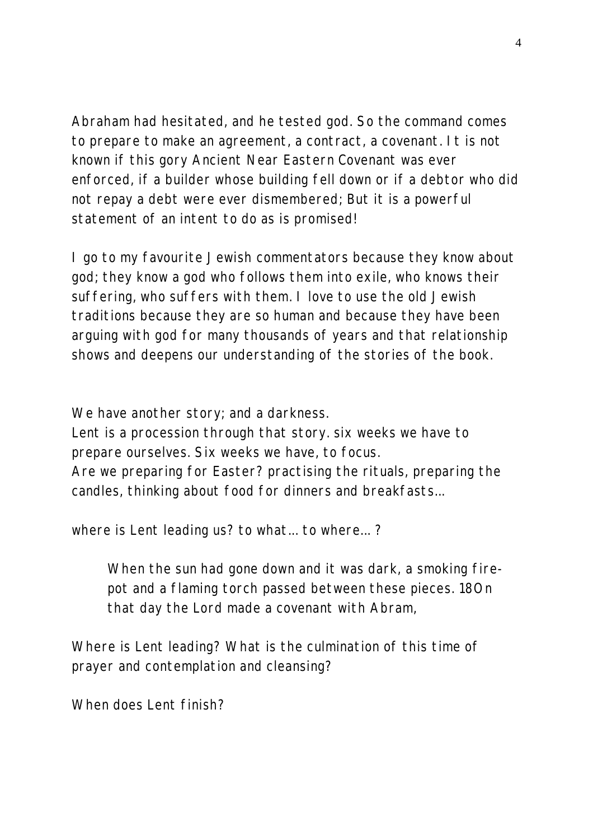Abraham had hesitated, and he tested god. So the command comes to prepare to make an agreement, a contract, a covenant. It is not known if this gory Ancient Near Eastern Covenant was ever enforced, if a builder whose building fell down or if a debtor who did not repay a debt were ever dismembered; But it is a powerful statement of an intent to do as is promised!

I go to my favourite Jewish commentators because they know about god; they know a god who follows them into exile, who knows their suffering, who suffers with them. I love to use the old Jewish traditions because they are so human and because they have been arguing with god for many thousands of years and that relationship shows and deepens our understanding of the stories of the book.

We have another story; and a darkness.

Lent is a procession through that story. six weeks we have to prepare ourselves. Six weeks we have, to focus. Are we preparing for Easter? practising the rituals, preparing the candles, thinking about food for dinners and breakfasts...

where *is* Lent leading us? to what... to where... ?

When the sun had gone down and it was dark, a smoking firepot and a flaming torch passed between these pieces. 18On that day the Lord made a covenant with Abram,

Where is Lent leading? What is the culmination of this time of prayer and contemplation and cleansing?

When does Lent finish?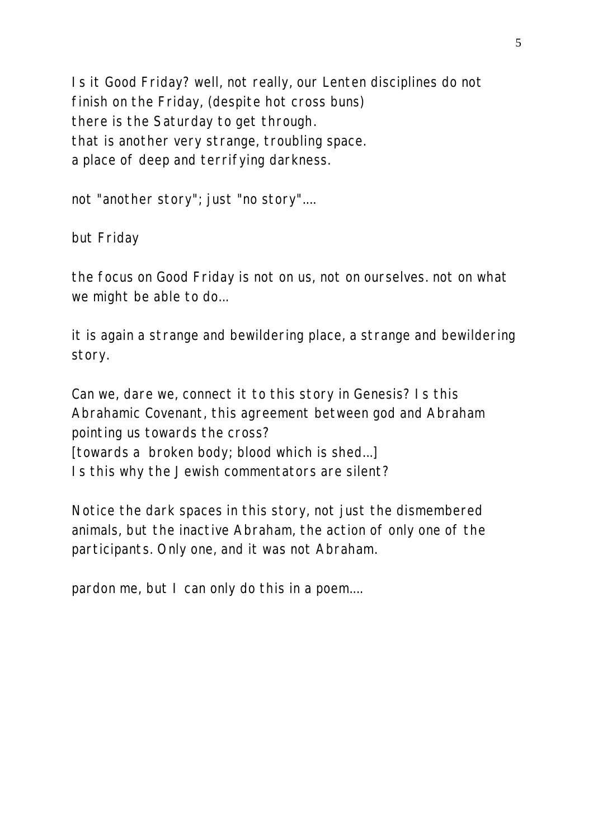Is it Good Friday? well, not really, our Lenten disciplines do not finish on the Friday, (despite hot cross buns) there is the Saturday to get through. that is another very strange, troubling space. a place of deep and terrifying darkness.

not "another story"; just "no story"....

but Friday

the focus on Good Friday is not on us, not on ourselves. not on what we might be able to do...

it is again a strange and bewildering place, a strange and bewildering story.

Can we, dare we, connect it to this story in Genesis? Is this Abrahamic Covenant, this agreement between god and Abraham pointing us towards the cross? [towards a broken body; blood which is shed...] Is this why the Jewish commentators are silent?

Notice the dark spaces in this story, not just the dismembered animals, but the inactive Abraham, the action of only one of the participants. Only one, and it was *not* Abraham.

pardon me, but I can only do this in a poem....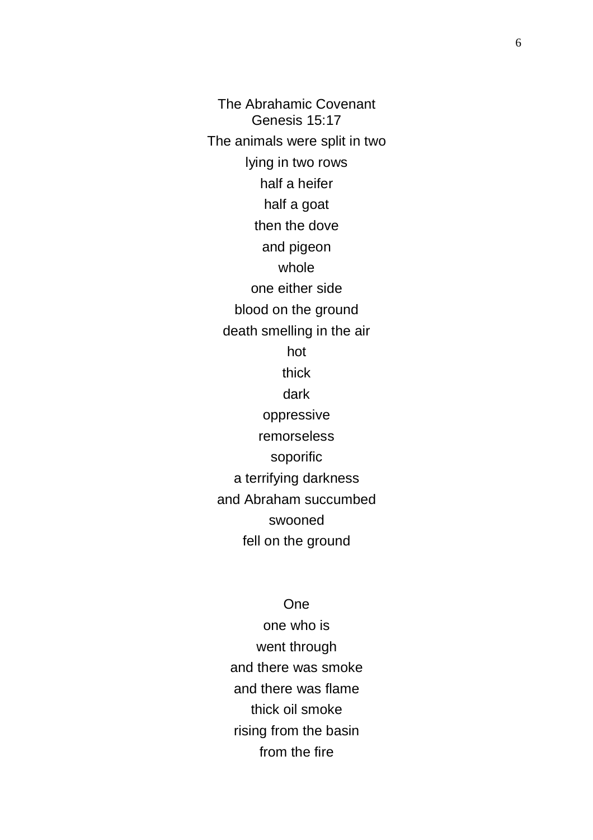The Abrahamic Covenant Genesis 15:17 The animals were split in two lying in two rows half a heifer half a goat then the dove and pigeon whole one either side blood on the ground death smelling in the air hot thick dark oppressive remorseless soporific a terrifying darkness and Abraham succumbed swooned fell on the ground

## One

one who is went through and there was smoke and there was flame thick oil smoke rising from the basin from the fire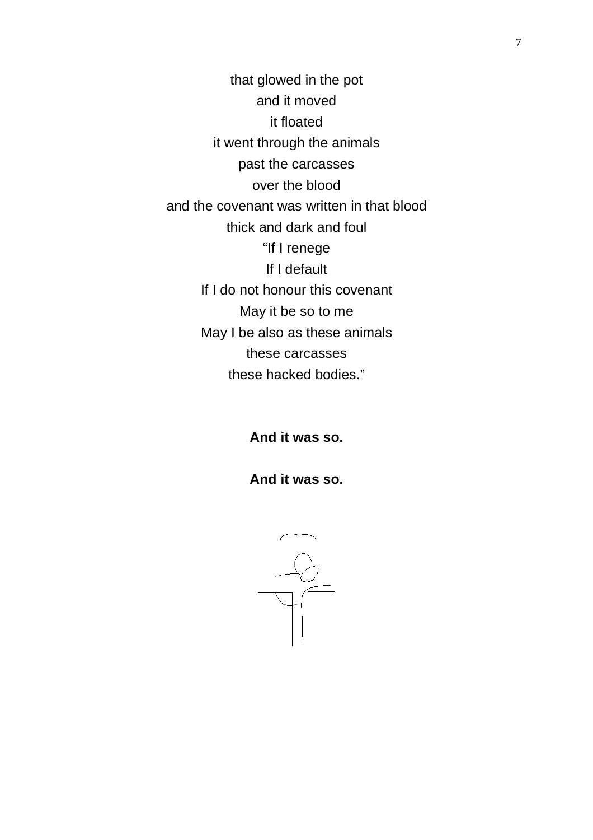that glowed in the pot and it moved it floated it went through the animals past the carcasses over the blood and the covenant was written in that blood thick and dark and foul "If I renege If I default If I do not honour this covenant May it be so to me May I be also as these animals these carcasses these hacked bodies."

**And it was so.**

**And it was so.**